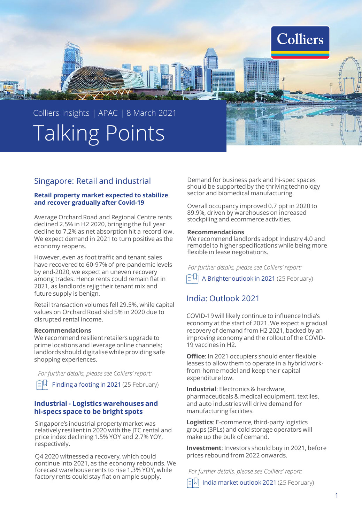

## Singapore: Retail and industrial

## **Retail property market expected to stabilize and recover gradually after Covid-19**

Average Orchard Road and Regional Centre rents declined 2.5% in H2 2020, bringing the full year decline to 7.2% as net absorption hit a record low. We expect demand in 2021 to turn positive as the economy reopens.

However, even as foot traffic and tenant sales have recovered to 60-97% of pre-pandemic levels by end-2020, we expect an uneven recovery among trades. Hence rents could remain flat in 2021, as landlords rejig their tenant mix and future supply is benign.

Retail transaction volumes fell 29.5%, while capital values on Orchard Road slid 5% in 2020 due to disrupted rental income.

## **Recommendations**

We recommend resilient retailers upgrade to prime locations and leverage online channels; landlords should digitalise while providing safe shopping experiences.

 $\boxed{\equiv}$  Finding a footing in 2021 (25 February) *For further details, please see Colliers' report:*

## **Industrial - Logistics warehouses and hi-specs space to be bright spots**

Singapore's industrial property market was relatively resilient in 2020 with the JTC rental and price index declining 1.5% YOY and 2.7% YOY, respectively.

Q4 2020 witnessed a recovery, which could continue into 2021, as the economy rebounds. We forecast warehouse rents to rise 1.3% YOY, while factory rents could stay flat on ample supply.

Demand for business park and hi-spec spaces should be supported by the thriving technology sector and biomedical manufacturing.

Overall occupancy improved 0.7 ppt in 2020 to 89.9%, driven by warehouses on increased stockpiling and ecommerce activities.

## **Recommendations**

We recommend landlords adopt Industry 4.0 and remodel to higher specifications while being more flexible in lease negotiations.

*For further details, please see Colliers' report:*

A Brighter outlook in 2021 (25 February)

# India: Outlook 2021

COVID-19 will likely continue to influence India's economy at the start of 2021. We expect a gradual recovery of demand from H2 2021, backed by an improving economy and the rollout of the COVID-19 vaccines in H2.

**Office**: In 2021 occupiers should enter flexible leases to allow them to operate in a hybrid workfrom-home model and keep their capital expenditure low.

**Industrial**: Electronics & hardware, pharmaceuticals & medical equipment, textiles, and auto industries will drive demand for manufacturing facilities.

**Logistics**: E-commerce, third-party logistics groups (3PLs) and cold storage operators will make up the bulk of demand.

**Investment**: Investors should buy in 2021, before prices rebound from 2022 onwards.

*For further details, please see Colliers' report:*

 $\left[\pm\left|\downarrow\right|\right]$  India market outlook 2021 (25 February)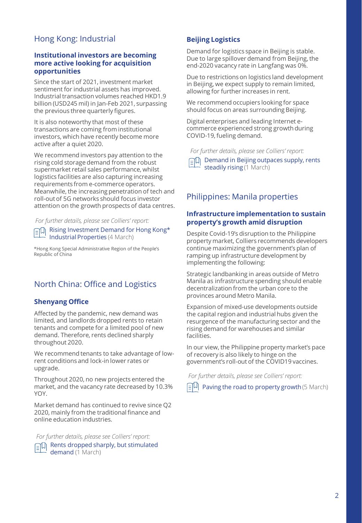# Hong Kong: Industrial

## **Institutional investors are becoming more active looking for acquisition opportunities**

Since the start of 2021, investment market sentiment for industrial assets has improved. Industrial transaction volumes reached HKD1.9 billion (USD245 mil) in Jan-Feb 2021, surpassing the previous three quarterly figures.

It is also noteworthy that most of these transactions are coming from institutional investors, which have recently become more active after a quiet 2020.

We recommend investors pay attention to the rising cold storage demand from the robust supermarket retail sales performance, whilst logistics facilities are also capturing increasing requirements from e-commerce operators. Meanwhile, the increasing penetration of tech and roll-out of 5G networks should focus investor attention on the growth prospects of data centres.

*For further details, please see Colliers' report:*

Rising Investment Demand for Hong Kong\* Industrial Properties (4 March)

\*Hong Kong Special Administrative Region of the People's Republic of China

# North China: Office and Logistics

## **Shenyang Office**

Affected by the pandemic, new demand was limited, and landlords dropped rents to retain tenants and compete for a limited pool of new demand. Therefore, rents declined sharply throughout 2020.

We recommend tenants to take advantage of lowrent conditions and lock-in lower rates or upgrade.

Throughout 2020, no new projects entered the market, and the vacancy rate decreased by 10.3% YOY.

Market demand has continued to revive since Q2 2020, mainly from the traditional finance and online education industries.

 $R = \sqrt{\frac{m}{L}}$  Rents dropped sharply, but stimulated demand (1 March) *For further details, please see Colliers' report:*

## **Beijing Logistics**

Demand for logistics space in Beijing is stable. Due to large spillover demand from Beijing, the end-2020 vacancy rate in Langfang was 0%.

Due to restrictions on logistics land development in Beijing, we expect supply to remain limited, allowing for further increases in rent.

We recommend occupiers looking for space should focus on areas surrounding Beijing.

Digital enterprises and leading Internet ecommerce experienced strong growth during COVID-19, fueling demand.

*For further details, please see Colliers' report:*

 $\text{E}[\overline{\mathbb{Q}}]$  Demand in Beijing outpaces supply, rents steadily rising (1 March)

## Philippines: Manila properties

## **Infrastructure implementation to sustain property's growth amid disruption**

Despite Covid-19's disruption to the Philippine property market, Colliers recommends developers continue maximizing the government's plan of ramping up infrastructure development by implementing the following:

Strategic landbanking in areas outside of Metro Manila as infrastructure spending should enable decentralization from the urban core to the provinces around Metro Manila.

Expansion of mixed-use developments outside the capital region and industrial hubs given the resurgence of the manufacturing sector and the rising demand for warehouses and similar facilities.

In our view, the Philippine property market's pace of recovery is also likely to hinge on the government's roll-out of the COVID19 vaccines.

*For further details, please see Colliers' report:*

 $\Xi^{[1]}$  Paving the road to property growth (5 March)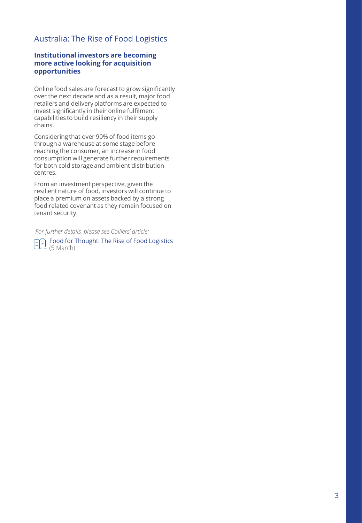# Australia: The Rise of Food Logistics

## **Institutional investors are becoming more active looking for acquisition opportunities**

Online food sales are forecast to grow significantly over the next decade and as a result, major food retailers and delivery platforms are expected to invest significantly in their online fulfilment capabilities to build resiliency in their supply chains.

Considering that over 90% of food items go through a warehouse at some stage before reaching the consumer, an increase in food consumption will generate further requirements for both cold storage and ambient distribution centres.

From an investment perspective, given the resilient nature of food, investors will continue to place a premium on assets backed by a strong food related covenant as they remain focused on tenant security.

*For further details, please see Colliers' article:*

FOod for Thought: The Rise of Food Logistics (5 March)